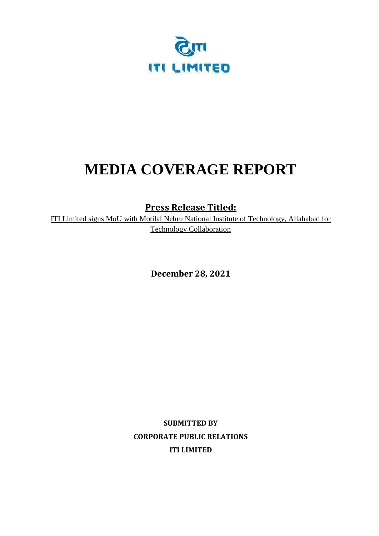

# **MEDIA COVERAGE REPORT**

**Press Release Titled:**

ITI Limited signs MoU with Motilal Nehru National Institute of Technology, Allahabad for Technology Collaboration

**December 28, 2021** 

**SUBMITTED BY CORPORATE PUBLIC RELATIONS ITI LIMITED**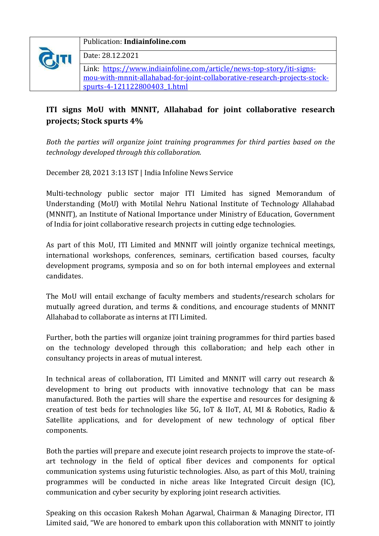

#### Publication: **Indiainfoline.com**

Date: 28.12.2021

Link: [https://www.indiainfoline.com/article/news-top-story/iti-signs](https://www.indiainfoline.com/article/news-top-story/iti-signs-mou-with-mnnit-allahabad-for-joint-collaborative-research-projects-stock-spurts-4-121122800403_1.html)[mou-with-mnnit-allahabad-for-joint-collaborative-research-projects-stock](https://www.indiainfoline.com/article/news-top-story/iti-signs-mou-with-mnnit-allahabad-for-joint-collaborative-research-projects-stock-spurts-4-121122800403_1.html)[spurts-4-121122800403\\_1.html](https://www.indiainfoline.com/article/news-top-story/iti-signs-mou-with-mnnit-allahabad-for-joint-collaborative-research-projects-stock-spurts-4-121122800403_1.html)

## **ITI signs MoU with MNNIT, Allahabad for joint collaborative research projects; Stock spurts 4%**

*Both the parties will organize joint training programmes for third parties based on the technology developed through this collaboration.*

December 28, 2021 3:13 IST | India Infoline News Service

Multi-technology public sector major ITI Limited has signed Memorandum of Understanding (MoU) with Motilal Nehru National Institute of Technology Allahabad (MNNIT), an Institute of National Importance under Ministry of Education, Government of India for joint collaborative research projects in cutting edge technologies.

As part of this MoU, ITI Limited and MNNIT will jointly organize technical meetings, international workshops, conferences, seminars, certification based courses, faculty development programs, symposia and so on for both internal employees and external candidates.

The MoU will entail exchange of faculty members and students/research scholars for mutually agreed duration, and terms & conditions, and encourage students of MNNIT Allahabad to collaborate as interns at ITI Limited.

Further, both the parties will organize joint training programmes for third parties based on the technology developed through this collaboration; and help each other in consultancy projects in areas of mutual interest.

In technical areas of collaboration, ITI Limited and MNNIT will carry out research & development to bring out products with innovative technology that can be mass manufactured. Both the parties will share the expertise and resources for designing & creation of test beds for technologies like 5G, IoT & IIoT, AI, MI & Robotics, Radio & Satellite applications, and for development of new technology of optical fiber components.

Both the parties will prepare and execute joint research projects to improve the state-ofart technology in the field of optical fiber devices and components for optical communication systems using futuristic technologies. Also, as part of this MoU, training programmes will be conducted in niche areas like Integrated Circuit design (IC), communication and cyber security by exploring joint research activities.

Speaking on this occasion Rakesh Mohan Agarwal, Chairman & Managing Director, ITI Limited said, "We are honored to embark upon this collaboration with MNNIT to jointly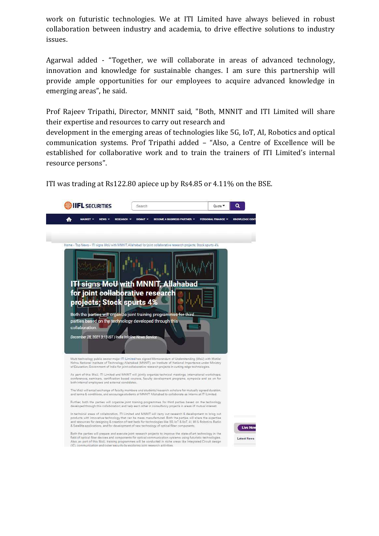work on futuristic technologies. We at ITI Limited have always believed in robust collaboration between industry and academia, to drive effective solutions to industry issues.

Agarwal added - "Together, we will collaborate in areas of advanced technology, innovation and knowledge for sustainable changes. I am sure this partnership will provide ample opportunities for our employees to acquire advanced knowledge in emerging areas", he said.

Prof Rajeev Tripathi, Director, MNNIT said, "Both, MNNIT and ITI Limited will share their expertise and resources to carry out research and

development in the emerging areas of technologies like 5G, IoT, AI, Robotics and optical communication systems. Prof Tripathi added – "Also, a Centre of Excellence will be established for collaborative work and to train the trainers of ITI Limited's internal resource persons".

ITI was trading at Rs122.80 apiece up by Rs4.85 or 4.11% on the BSE.

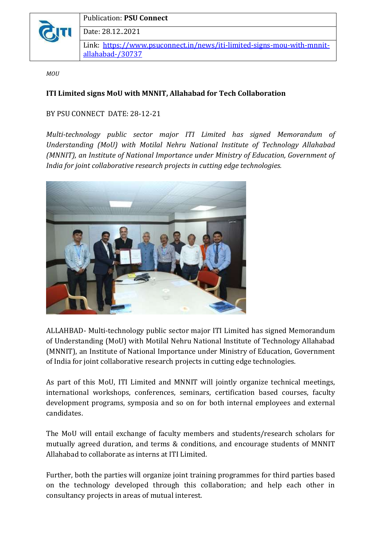

Publication: **PSU Connect** Date: 28.12..2021 Link: [https://www.psuconnect.in/news/iti-limited-signs-mou-with-mnnit](https://www.psuconnect.in/news/iti-limited-signs-mou-with-mnnit-allahabad-/30737)[allahabad-/30737](https://www.psuconnect.in/news/iti-limited-signs-mou-with-mnnit-allahabad-/30737)

*MOU*

#### **ITI Limited signs MoU with MNNIT, Allahabad for Tech Collaboration**

#### BY PSU CONNECT DATE: 28-12-21

*Multi-technology public sector major ITI Limited has signed Memorandum of Understanding (MoU) with Motilal Nehru National Institute of Technology Allahabad (MNNIT), an Institute of National Importance under Ministry of Education, Government of India for joint collaborative research projects in cutting edge technologies.*



ALLAHBAD- Multi-technology public sector major ITI Limited has signed Memorandum of Understanding (MoU) with Motilal Nehru National Institute of Technology Allahabad (MNNIT), an Institute of National Importance under Ministry of Education, Government of India for joint collaborative research projects in cutting edge technologies.

As part of this MoU, ITI Limited and MNNIT will jointly organize technical meetings, international workshops, conferences, seminars, certification based courses, faculty development programs, symposia and so on for both internal employees and external candidates.

The MoU will entail exchange of faculty members and students/research scholars for mutually agreed duration, and terms & conditions, and encourage students of MNNIT Allahabad to collaborate as interns at ITI Limited.

Further, both the parties will organize joint training programmes for third parties based on the technology developed through this collaboration; and help each other in consultancy projects in areas of mutual interest.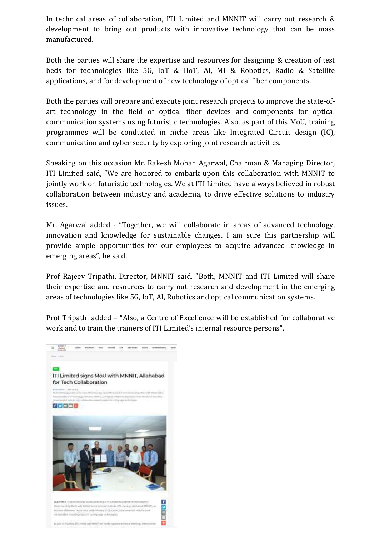In technical areas of collaboration, ITI Limited and MNNIT will carry out research & development to bring out products with innovative technology that can be mass manufactured.

Both the parties will share the expertise and resources for designing & creation of test beds for technologies like 5G, IoT & IIoT, AI, MI & Robotics, Radio & Satellite applications, and for development of new technology of optical fiber components.

Both the parties will prepare and execute joint research projects to improve the state-ofart technology in the field of optical fiber devices and components for optical communication systems using futuristic technologies. Also, as part of this MoU, training programmes will be conducted in niche areas like Integrated Circuit design (IC), communication and cyber security by exploring joint research activities.

Speaking on this occasion Mr. Rakesh Mohan Agarwal, Chairman & Managing Director, ITI Limited said, "We are honored to embark upon this collaboration with MNNIT to jointly work on futuristic technologies. We at ITI Limited have always believed in robust collaboration between industry and academia, to drive effective solutions to industry issues.

Mr. Agarwal added - "Together, we will collaborate in areas of advanced technology, innovation and knowledge for sustainable changes. I am sure this partnership will provide ample opportunities for our employees to acquire advanced knowledge in emerging areas", he said.

Prof Rajeev Tripathi, Director, MNNIT said, "Both, MNNIT and ITI Limited will share their expertise and resources to carry out research and development in the emerging areas of technologies like 5G, IoT, AI, Robotics and optical communication systems.

Prof Tripathi added – "Also, a Centre of Excellence will be established for collaborative work and to train the trainers of ITI Limited's internal resource persons".

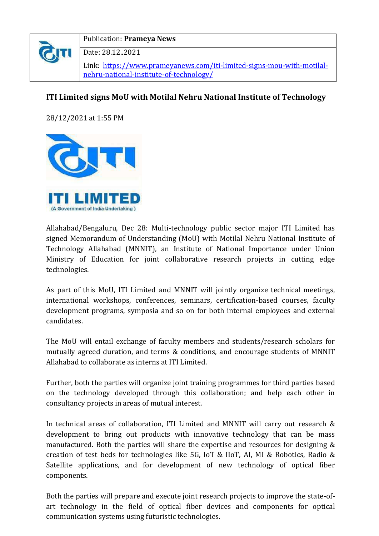

#### Publication: **Prameya News**

Date: 28.12..2021

Link: [https://www.prameyanews.com/iti-limited-signs-mou-with-motilal](https://www.prameyanews.com/iti-limited-signs-mou-with-motilal-nehru-national-institute-of-technology/)[nehru-national-institute-of-technology/](https://www.prameyanews.com/iti-limited-signs-mou-with-motilal-nehru-national-institute-of-technology/)

### **ITI Limited signs MoU with Motilal Nehru National Institute of Technology**

28/12/2021 at 1:55 PM



Allahabad/Bengaluru, Dec 28: Multi-technology public sector major ITI Limited has signed Memorandum of Understanding (MoU) with Motilal Nehru National Institute of Technology Allahabad (MNNIT), an Institute of National Importance under Union Ministry of Education for joint collaborative research projects in cutting edge technologies.

As part of this MoU, ITI Limited and MNNIT will jointly organize technical meetings, international workshops, conferences, seminars, certification-based courses, faculty development programs, symposia and so on for both internal employees and external candidates.

The MoU will entail exchange of faculty members and students/research scholars for mutually agreed duration, and terms & conditions, and encourage students of MNNIT Allahabad to collaborate as interns at ITI Limited.

Further, both the parties will organize joint training programmes for third parties based on the technology developed through this collaboration; and help each other in consultancy projects in areas of mutual interest.

In technical areas of collaboration, ITI Limited and MNNIT will carry out research & development to bring out products with innovative technology that can be mass manufactured. Both the parties will share the expertise and resources for designing & creation of test beds for technologies like 5G, IoT & IIoT, AI, MI & Robotics, Radio & Satellite applications, and for development of new technology of optical fiber components.

Both the parties will prepare and execute joint research projects to improve the state-ofart technology in the field of optical fiber devices and components for optical communication systems using futuristic technologies.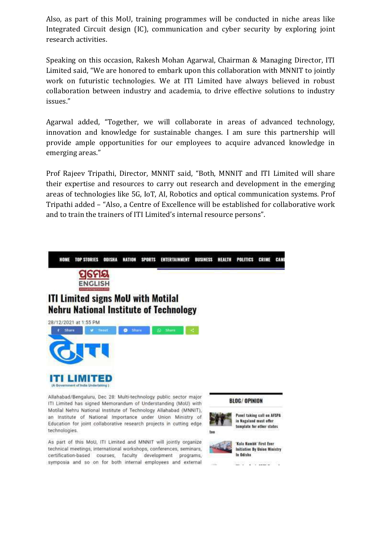Also, as part of this MoU, training programmes will be conducted in niche areas like Integrated Circuit design (IC), communication and cyber security by exploring joint research activities.

Speaking on this occasion, Rakesh Mohan Agarwal, Chairman & Managing Director, ITI Limited said, "We are honored to embark upon this collaboration with MNNIT to jointly work on futuristic technologies. We at ITI Limited have always believed in robust collaboration between industry and academia, to drive effective solutions to industry issues."

Agarwal added, "Together, we will collaborate in areas of advanced technology, innovation and knowledge for sustainable changes. I am sure this partnership will provide ample opportunities for our employees to acquire advanced knowledge in emerging areas."

Prof Rajeev Tripathi, Director, MNNIT said, "Both, MNNIT and ITI Limited will share their expertise and resources to carry out research and development in the emerging areas of technologies like 5G, IoT, AI, Robotics and optical communication systems. Prof Tripathi added – "Also, a Centre of Excellence will be established for collaborative work and to train the trainers of ITI Limited's internal resource persons".



ITI Limited has signed Memorandum of Understanding (MoU) with Motilal Nehru National Institute of Technology Allahabad (MNNIT), an Institute of National Importance under Union Ministry of Education for joint collaborative research projects in cutting edge technologies.

As part of this MoU, ITI Limited and MNNIT will jointly organize technical meetings, international workshops, conferences, seminars, certification-based courses, faculty development programs, symposia and so on for both internal employees and external

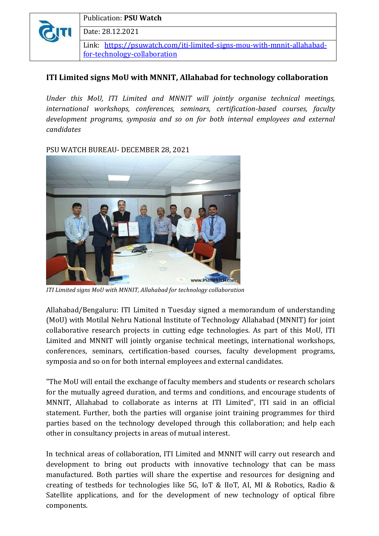

## **ITI Limited signs MoU with MNNIT, Allahabad for technology collaboration**

*Under this MoU, ITI Limited and MNNIT will jointly organise technical meetings, international workshops, conferences, seminars, certification-based courses, faculty development programs, symposia and so on for both internal employees and external candidates*

PSU WATCH BUREAU- DECEMBER 28, 2021



*ITI Limited signs MoU with MNNIT, Allahabad for technology collaboration*

Allahabad/Bengaluru: ITI Limited n Tuesday signed a memorandum of understanding (MoU) with Motilal Nehru National Institute of Technology Allahabad (MNNIT) for joint collaborative research projects in cutting edge technologies. As part of this MoU, ITI Limited and MNNIT will jointly organise technical meetings, international workshops, conferences, seminars, certification-based courses, faculty development programs, symposia and so on for both internal employees and external candidates.

"The MoU will entail the exchange of faculty members and students or research scholars for the mutually agreed duration, and terms and conditions, and encourage students of MNNIT, Allahabad to collaborate as interns at ITI Limited", ITI said in an official statement. Further, both the parties will organise joint training programmes for third parties based on the technology developed through this collaboration; and help each other in consultancy projects in areas of mutual interest.

In technical areas of collaboration, ITI Limited and MNNIT will carry out research and development to bring out products with innovative technology that can be mass manufactured. Both parties will share the expertise and resources for designing and creating of testbeds for technologies like 5G, IoT & IIoT, AI, MI & Robotics, Radio & Satellite applications, and for the development of new technology of optical fibre components.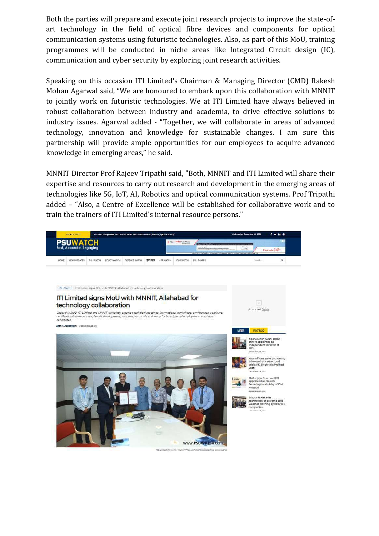Both the parties will prepare and execute joint research projects to improve the state-ofart technology in the field of optical fibre devices and components for optical communication systems using futuristic technologies. Also, as part of this MoU, training programmes will be conducted in niche areas like Integrated Circuit design (IC), communication and cyber security by exploring joint research activities.

Speaking on this occasion ITI Limited's Chairman & Managing Director (CMD) Rakesh Mohan Agarwal said, "We are honoured to embark upon this collaboration with MNNIT to jointly work on futuristic technologies. We at ITI Limited have always believed in robust collaboration between industry and academia, to drive effective solutions to industry issues. Agarwal added - "Together, we will collaborate in areas of advanced technology, innovation and knowledge for sustainable changes. I am sure this partnership will provide ample opportunities for our employees to acquire advanced knowledge in emerging areas," he said.

MNNIT Director Prof Rajeev Tripathi said, "Both, MNNIT and ITI Limited will share their expertise and resources to carry out research and development in the emerging areas of technologies like 5G, IoT, AI, Robotics and optical communication systems. Prof Tripathi added – "Also, a Centre of Excellence will be established for collaborative work and to train the trainers of ITI Limited's internal resource persons."

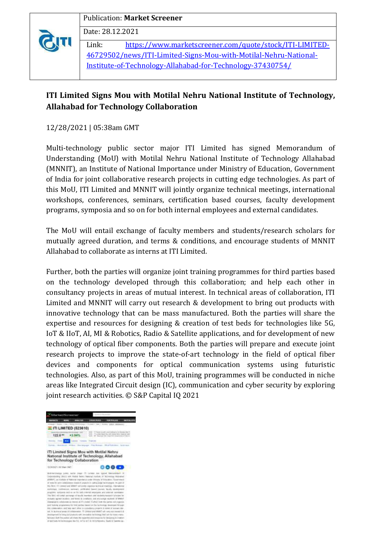#### Publication: **Market Screener**

Date: 28.12.2021

Link: [https://www.marketscreener.com/quote/stock/ITI-LIMITED-](https://www.marketscreener.com/quote/stock/ITI-LIMITED-46729502/news/ITI-Limited-Signs-Mou-with-Motilal-Nehru-National-Institute-of-Technology-Allahabad-for-Technology-37430754/)[46729502/news/ITI-Limited-Signs-Mou-with-Motilal-Nehru-National-](https://www.marketscreener.com/quote/stock/ITI-LIMITED-46729502/news/ITI-Limited-Signs-Mou-with-Motilal-Nehru-National-Institute-of-Technology-Allahabad-for-Technology-37430754/)[Institute-of-Technology-Allahabad-for-Technology-37430754/](https://www.marketscreener.com/quote/stock/ITI-LIMITED-46729502/news/ITI-Limited-Signs-Mou-with-Motilal-Nehru-National-Institute-of-Technology-Allahabad-for-Technology-37430754/)

## **ITI Limited Signs Mou with Motilal Nehru National Institute of Technology, Allahabad for Technology Collaboration**

12/28/2021 | 05:38am GMT

Multi-technology public sector major ITI Limited has signed Memorandum of Understanding (MoU) with Motilal Nehru National Institute of Technology Allahabad (MNNIT), an Institute of National Importance under Ministry of Education, Government of India for joint collaborative research projects in cutting edge technologies. As part of this MoU, ITI Limited and MNNIT will jointly organize technical meetings, international workshops, conferences, seminars, certification based courses, faculty development programs, symposia and so on for both internal employees and external candidates.

The MoU will entail exchange of faculty members and students/research scholars for mutually agreed duration, and terms & conditions, and encourage students of MNNIT Allahabad to collaborate as interns at ITI Limited.

Further, both the parties will organize joint training programmes for third parties based on the technology developed through this collaboration; and help each other in consultancy projects in areas of mutual interest. In technical areas of collaboration, ITI Limited and MNNIT will carry out research & development to bring out products with innovative technology that can be mass manufactured. Both the parties will share the expertise and resources for designing & creation of test beds for technologies like 5G, IoT & IIoT, AI, MI & Robotics, Radio & Satellite applications, and for development of new technology of optical fiber components. Both the parties will prepare and execute joint research projects to improve the state-of-art technology in the field of optical fiber devices and components for optical communication systems using futuristic technologies. Also, as part of this MoU, training programmes will be conducted in niche areas like Integrated Circuit design (IC), communication and cyber security by exploring joint research activities. © S&P Capital IQ 2021

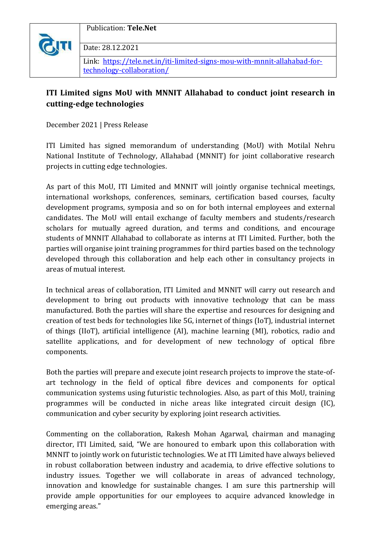

Publication: **Tele.Net**

Date: 28.12.2021

Link: [https://tele.net.in/iti-limited-signs-mou-with-mnnit-allahabad-for](https://tele.net.in/iti-limited-signs-mou-with-mnnit-allahabad-for-technology-collaboration/)[technology-collaboration/](https://tele.net.in/iti-limited-signs-mou-with-mnnit-allahabad-for-technology-collaboration/)

## **ITI Limited signs MoU with MNNIT Allahabad to conduct joint research in cutting-edge technologies**

December 2021 | Press Release

ITI Limited has signed memorandum of understanding (MoU) with Motilal Nehru National Institute of Technology, Allahabad (MNNIT) for joint collaborative research projects in cutting edge technologies.

As part of this MoU, ITI Limited and MNNIT will jointly organise technical meetings, international workshops, conferences, seminars, certification based courses, faculty development programs, symposia and so on for both internal employees and external candidates. The MoU will entail exchange of faculty members and students/research scholars for mutually agreed duration, and terms and conditions, and encourage students of MNNIT Allahabad to collaborate as interns at ITI Limited. Further, both the parties will organise joint training programmes for third parties based on the technology developed through this collaboration and help each other in consultancy projects in areas of mutual interest.

In technical areas of collaboration, ITI Limited and MNNIT will carry out research and development to bring out products with innovative technology that can be mass manufactured. Both the parties will share the expertise and resources for designing and creation of test beds for technologies like 5G, internet of things (IoT), industrial internet of things (IIoT), artificial intelligence (AI), machine learning (MI), robotics, radio and satellite applications, and for development of new technology of optical fibre components.

Both the parties will prepare and execute joint research projects to improve the state-ofart technology in the field of optical fibre devices and components for optical communication systems using futuristic technologies. Also, as part of this MoU, training programmes will be conducted in niche areas like integrated circuit design (IC), communication and cyber security by exploring joint research activities.

Commenting on the collaboration, Rakesh Mohan Agarwal, chairman and managing director, ITI Limited, said, "We are honoured to embark upon this collaboration with MNNIT to jointly work on futuristic technologies. We at ITI Limited have always believed in robust collaboration between industry and academia, to drive effective solutions to industry issues. Together we will collaborate in areas of advanced technology, innovation and knowledge for sustainable changes. I am sure this partnership will provide ample opportunities for our employees to acquire advanced knowledge in emerging areas."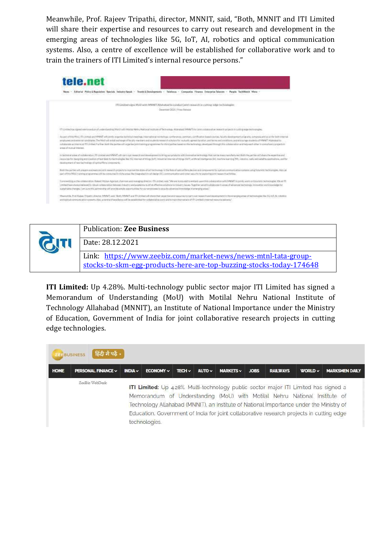Meanwhile, Prof. Rajeev Tripathi, director, MNNIT, said, "Both, MNNIT and ITI Limited will share their expertise and resources to carry out research and development in the emerging areas of technologies like 5G, IoT, AI, robotics and optical communication systems. Also, a centre of excellence will be established for collaborative work and to train the trainers of ITI Limited's internal resource persons."





**ITI Limited:** Up 4.28%. Multi-technology public sector major ITI Limited has signed a Memorandum of Understanding (MoU) with Motilal Nehru National Institute of Technology Allahabad (MNNIT), an Institute of National Importance under the Ministry of Education, Government of India for joint collaborative research projects in cutting edge technologies.

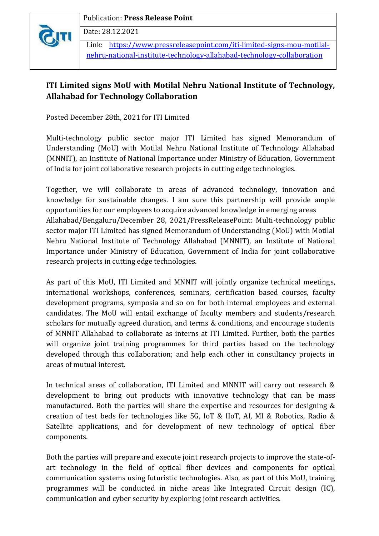

Publication: **Press Release Point**

Date: 28.12.2021

Link: [https://www.pressreleasepoint.com/iti-limited-signs-mou-motilal](https://www.pressreleasepoint.com/iti-limited-signs-mou-motilal-nehru-national-institute-technology-allahabad-technology-collaboration)[nehru-national-institute-technology-allahabad-technology-collaboration](https://www.pressreleasepoint.com/iti-limited-signs-mou-motilal-nehru-national-institute-technology-allahabad-technology-collaboration)

## **ITI Limited signs MoU with Motilal Nehru National Institute of Technology, Allahabad for Technology Collaboration**

Posted December 28th, 2021 for ITI Limited

Multi-technology public sector major ITI Limited has signed Memorandum of Understanding (MoU) with Motilal Nehru National Institute of Technology Allahabad (MNNIT), an Institute of National Importance under Ministry of Education, Government of India for joint collaborative research projects in cutting edge technologies.

Together, we will collaborate in areas of advanced technology, innovation and knowledge for sustainable changes. I am sure this partnership will provide ample opportunities for our employees to acquire advanced knowledge in emerging areas Allahabad/Bengaluru/December 28, 2021/PressReleasePoint: Multi-technology public sector major ITI Limited has signed Memorandum of Understanding (MoU) with Motilal Nehru National Institute of Technology Allahabad (MNNIT), an Institute of National Importance under Ministry of Education, Government of India for joint collaborative research projects in cutting edge technologies.

As part of this MoU, ITI Limited and MNNIT will jointly organize technical meetings, international workshops, conferences, seminars, certification based courses, faculty development programs, symposia and so on for both internal employees and external candidates. The MoU will entail exchange of faculty members and students/research scholars for mutually agreed duration, and terms & conditions, and encourage students of MNNIT Allahabad to collaborate as interns at ITI Limited. Further, both the parties will organize joint training programmes for third parties based on the technology developed through this collaboration; and help each other in consultancy projects in areas of mutual interest.

In technical areas of collaboration, ITI Limited and MNNIT will carry out research & development to bring out products with innovative technology that can be mass manufactured. Both the parties will share the expertise and resources for designing & creation of test beds for technologies like 5G, IoT & IIoT, AI, MI & Robotics, Radio & Satellite applications, and for development of new technology of optical fiber components.

Both the parties will prepare and execute joint research projects to improve the state-ofart technology in the field of optical fiber devices and components for optical communication systems using futuristic technologies. Also, as part of this MoU, training programmes will be conducted in niche areas like Integrated Circuit design (IC), communication and cyber security by exploring joint research activities.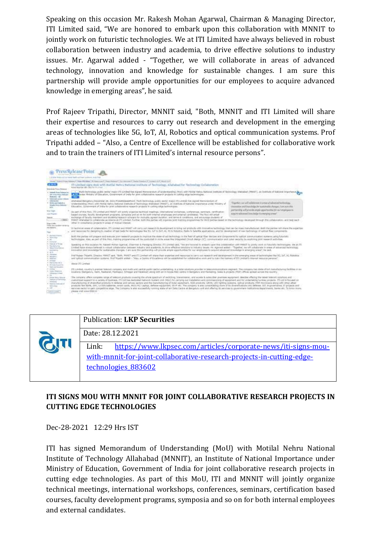Speaking on this occasion Mr. Rakesh Mohan Agarwal, Chairman & Managing Director, ITI Limited said, "We are honored to embark upon this collaboration with MNNIT to jointly work on futuristic technologies. We at ITI Limited have always believed in robust collaboration between industry and academia, to drive effective solutions to industry issues. Mr. Agarwal added - "Together, we will collaborate in areas of advanced technology, innovation and knowledge for sustainable changes. I am sure this partnership will provide ample opportunities for our employees to acquire advanced knowledge in emerging areas", he said.

Prof Rajeev Tripathi, Director, MNNIT said, "Both, MNNIT and ITI Limited will share their expertise and resources to carry out research and development in the emerging areas of technologies like 5G, IoT, AI, Robotics and optical communication systems. Prof Tripathi added – "Also, a Centre of Excellence will be established for collaborative work and to train the trainers of ITI Limited's internal resource persons".





## **ITI SIGNS MOU WITH MNNIT FOR JOINT COLLABORATIVE RESEARCH PROJECTS IN CUTTING EDGE TECHNOLOGIES**

Dec-28-2021 12:29 Hrs IST

ITI has signed Memorandum of Understanding (MoU) with Motilal Nehru National Institute of Technology Allahabad (MNNIT), an Institute of National Importance under Ministry of Education, Government of India for joint collaborative research projects in cutting edge technologies. As part of this MoU, ITI and MNNIT will jointly organize technical meetings, international workshops, conferences, seminars, certification based courses, faculty development programs, symposia and so on for both internal employees and external candidates.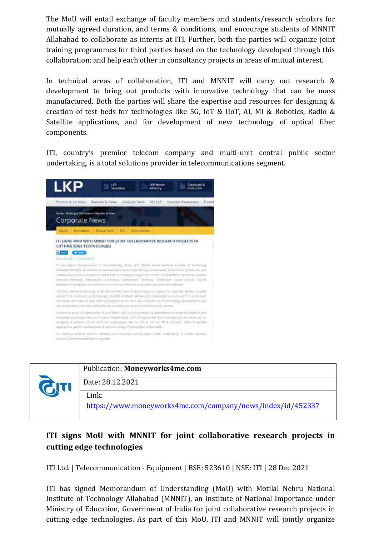The MoU will entail exchange of faculty members and students/research scholars for mutually agreed duration, and terms & conditions, and encourage students of MNNIT Allahabad to collaborate as interns at ITI. Further, both the parties will organize joint training programmes for third parties based on the technology developed through this collaboration; and help each other in consultancy projects in areas of mutual interest.

In technical areas of collaboration, ITI and MNNIT will carry out research & development to bring out products with innovative technology that can be mass manufactured. Both the parties will share the expertise and resources for designing & creation of test beds for technologies like 5G, IoT & IIoT, AI, MI & Robotics, Radio & Satellite applications, and for development of new technology of optical fiber components.

ITI, country's premier telecom company and multi-unit central public sector undertaking, is a total solutions provider in telecommunications segment.





## **ITI signs MoU with MNNIT for joint collaborative research projects in cutting edge technologies**

ITI Ltd. | Telecommunication - Equipment | BSE: 523610 | NSE: ITI | 28 Dec 2021

ITI has signed Memorandum of Understanding (MoU) with Motilal Nehru National Institute of Technology Allahabad (MNNIT), an Institute of National Importance under Ministry of Education, Government of India for joint collaborative research projects in cutting edge technologies. As part of this MoU, ITI and MNNIT will jointly organize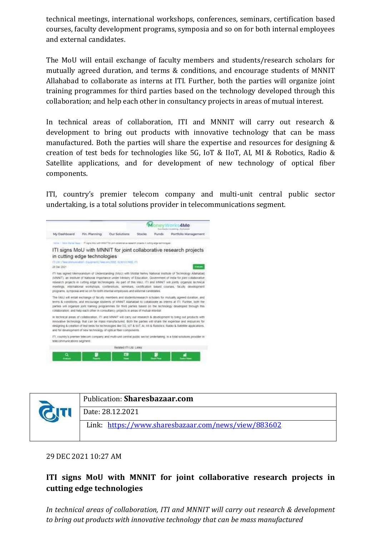technical meetings, international workshops, conferences, seminars, certification based courses, faculty development programs, symposia and so on for both internal employees and external candidates.

The MoU will entail exchange of faculty members and students/research scholars for mutually agreed duration, and terms & conditions, and encourage students of MNNIT Allahabad to collaborate as interns at ITI. Further, both the parties will organize joint training programmes for third parties based on the technology developed through this collaboration; and help each other in consultancy projects in areas of mutual interest.

In technical areas of collaboration, ITI and MNNIT will carry out research & development to bring out products with innovative technology that can be mass manufactured. Both the parties will share the expertise and resources for designing & creation of test beds for technologies like 5G, IoT & IIoT, AI, MI & Robotics, Radio & Satellite applications, and for development of new technology of optical fiber components.

ITI, country's premier telecom company and multi-unit central public sector undertaking, is a total solutions provider in telecommunications segment.





29 DEC 2021 10:27 AM

## **ITI signs MoU with MNNIT for joint collaborative research projects in cutting edge technologies**

*In technical areas of collaboration, ITI and MNNIT will carry out research & development to bring out products with innovative technology that can be mass manufactured*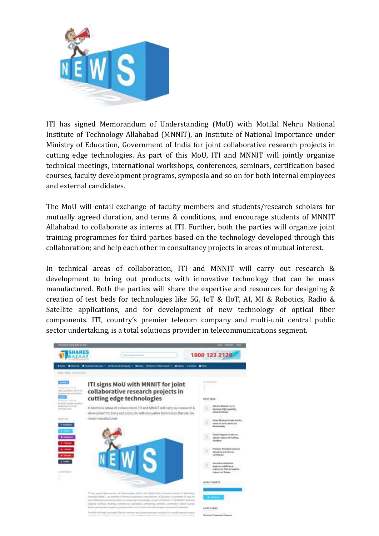

ITI has signed Memorandum of Understanding (MoU) with Motilal Nehru National Institute of Technology Allahabad (MNNIT), an Institute of National Importance under Ministry of Education, Government of India for joint collaborative research projects in cutting edge technologies. As part of this MoU, ITI and MNNIT will jointly organize technical meetings, international workshops, conferences, seminars, certification based courses, faculty development programs, symposia and so on for both internal employees and external candidates.

The MoU will entail exchange of faculty members and students/research scholars for mutually agreed duration, and terms & conditions, and encourage students of MNNIT Allahabad to collaborate as interns at ITI. Further, both the parties will organize joint training programmes for third parties based on the technology developed through this collaboration; and help each other in consultancy projects in areas of mutual interest.

In technical areas of collaboration, ITI and MNNIT will carry out research & development to bring out products with innovative technology that can be mass manufactured. Both the parties will share the expertise and resources for designing & creation of test beds for technologies like 5G, IoT & IIoT, AI, MI & Robotics, Radio & Satellite applications, and for development of new technology of optical fiber components. ITI, country's premier telecom company and multi-unit central public sector undertaking, is a total solutions provider in telecommunications segment.

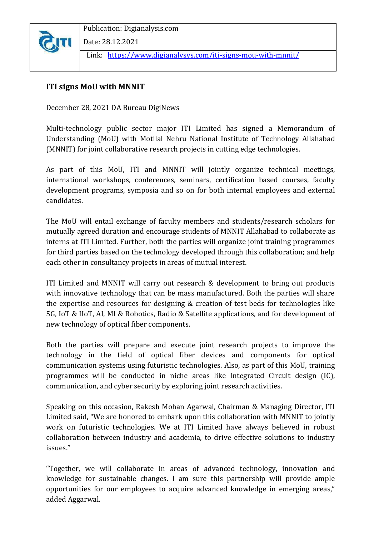

Publication: Digianalysis.com

Date: 28.12.2021

Link: <https://www.digianalysys.com/iti-signs-mou-with-mnnit/>

## **ITI signs MoU with MNNIT**

December 28, 2021 DA Bureau DigiNews

Multi-technology public sector major ITI Limited has signed a Memorandum of Understanding (MoU) with Motilal Nehru National Institute of Technology Allahabad (MNNIT) for joint collaborative research projects in cutting edge technologies.

As part of this MoU, ITI and MNNIT will jointly organize technical meetings, international workshops, conferences, seminars, certification based courses, faculty development programs, symposia and so on for both internal employees and external candidates.

The MoU will entail exchange of faculty members and students/research scholars for mutually agreed duration and encourage students of MNNIT Allahabad to collaborate as interns at ITI Limited. Further, both the parties will organize joint training programmes for third parties based on the technology developed through this collaboration; and help each other in consultancy projects in areas of mutual interest.

ITI Limited and MNNIT will carry out research & development to bring out products with innovative technology that can be mass manufactured. Both the parties will share the expertise and resources for designing & creation of test beds for technologies like 5G, IoT & IIoT, AI, MI & Robotics, Radio & Satellite applications, and for development of new technology of optical fiber components.

Both the parties will prepare and execute joint research projects to improve the technology in the field of optical fiber devices and components for optical communication systems using futuristic technologies. Also, as part of this MoU, training programmes will be conducted in niche areas like Integrated Circuit design (IC), communication, and cyber security by exploring joint research activities.

Speaking on this occasion, Rakesh Mohan Agarwal, Chairman & Managing Director, ITI Limited said, "We are honored to embark upon this collaboration with MNNIT to jointly work on futuristic technologies. We at ITI Limited have always believed in robust collaboration between industry and academia, to drive effective solutions to industry issues."

"Together, we will collaborate in areas of advanced technology, innovation and knowledge for sustainable changes. I am sure this partnership will provide ample opportunities for our employees to acquire advanced knowledge in emerging areas," added Aggarwal.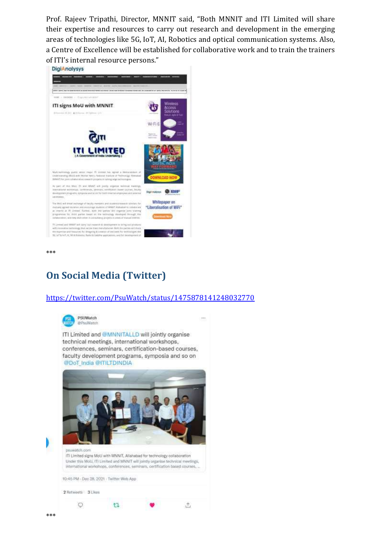Prof. Rajeev Tripathi, Director, MNNIT said, "Both MNNIT and ITI Limited will share their expertise and resources to carry out research and development in the emerging areas of technologies like 5G, IoT, AI, Robotics and optical communication systems. Also, a Centre of Excellence will be established for collaborative work and to train the trainers of ITI's internal resource persons."



\*\*\*

## **On Social Media (Twitter)**

#### <https://twitter.com/PsuWatch/status/1475878141248032770>

 $\cdots$ 

击



ITI Limited and @MNNITALLD will jointly organise technical meetings, international workshops, conferences, seminars, certification-based courses, faculty development programs, symposia and so on @DoT India @ITILTDINDIA



 $t1$ 

\*\*\*

 $\circ$